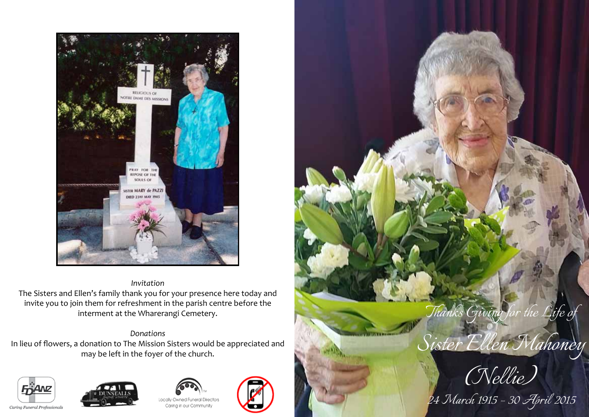

# *Invitation* The Sisters and Ellen's family thank you for your presence here today and invite you to join them for refreshment in the parish centre before the interment at the Wharerangi Cemetery.

## *Donations*

In lieu of flowers, a donation to The Mission Sisters would be appreciated and may be left in the foyer of the church.









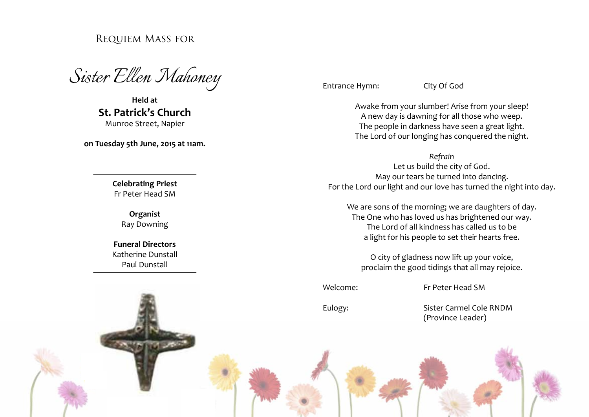# Requiem Mass for

*Sister Ellen Mahoney* 

**Held at St. Patrick's Church** Munroe Street, Napier

**on Tuesday 5th June, 2015 at 11am.**

**Celebrating Priest** Fr Peter Head SM

> **Organist** Ray Downing

**Funeral Directors** Katherine Dunstall Paul Dunstall

Entrance Hymn: City Of God

Awake from your slumber! Arise from your sleep! A new day is dawning for all those who weep. The people in darkness have seen a great light. The Lord of our longing has conquered the night.

*Refrain*

Let us build the city of God. May our tears be turned into dancing. For the Lord our light and our love has turned the night into day.

We are sons of the morning; we are daughters of day. The One who has loved us has brightened our way. The Lord of all kindness has called us to be a light for his people to set their hearts free.

O city of gladness now lift up your voice, proclaim the good tidings that all may rejoice.

Welcome: Fr Peter Head SM

Eulogy: Sister Carmel Cole RNDM (Province Leader)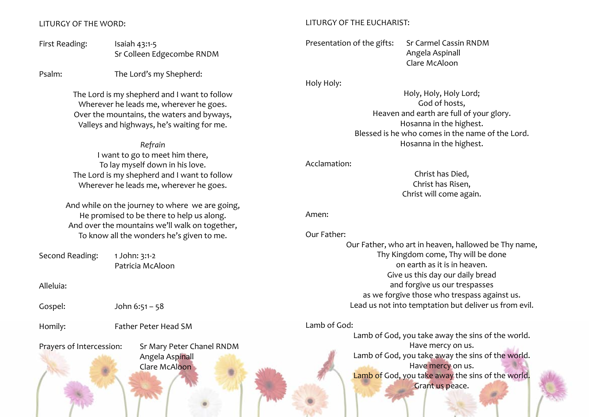### LITURGY OF THE WORD:

First Reading: Isaiah 43:1-5 Sr Colleen Edgecombe RNDM

Psalm: The Lord's my Shepherd:

The Lord is my shepherd and I want to follow Wherever he leads me, wherever he goes. Over the mountains, the waters and byways, Valleys and highways, he's waiting for me.

*Refrain* I want to go to meet him there, To lay myself down in his love. The Lord is my shepherd and I want to follow Wherever he leads me, wherever he goes.

And while on the journey to where we are going, He promised to be there to help us along. And over the mountains we'll walk on together, To know all the wonders he's given to me.

Second Reading: 1 John: 3:1-2 Patricia McAloon

Alleluia:

Gospel: John 6:51 – 58

Homily: Father Peter Head SM

Prayers of Intercession: Sr Mary Peter Chanel RNDM Angela Aspinall Clare McAloon

### LITURGY OF THE EUCHARIST:

Presentation of the gifts: Sr Carmel Cassin RNDM Angela Aspinall Clare McAloon

Holy Holy:

Holy, Holy, Holy Lord; God of hosts, Heaven and earth are full of your glory. Hosanna in the highest. Blessed is he who comes in the name of the Lord. Hosanna in the highest.

Acclamation:

Christ has Died, Christ has Risen, Christ will come again.

Amen:

| Our Father: |                                                       |
|-------------|-------------------------------------------------------|
|             | Our Father, who art in heaven, hallowed be Thy name,  |
|             | Thy Kingdom come, Thy will be done                    |
|             | on earth as it is in heaven.                          |
|             | Give us this day our daily bread                      |
|             | and forgive us our trespasses                         |
|             | as we forgive those who trespass against us.          |
|             | Lead us not into temptation but deliver us from evil. |
|             |                                                       |

Lamb of God:

Lamb of God, you take away the sins of the world. Have mercy on us. Lamb of God, you take away the sins of the world. Have mercy on us. Lamb of God, you take away the sins of the world. Grant us peace.